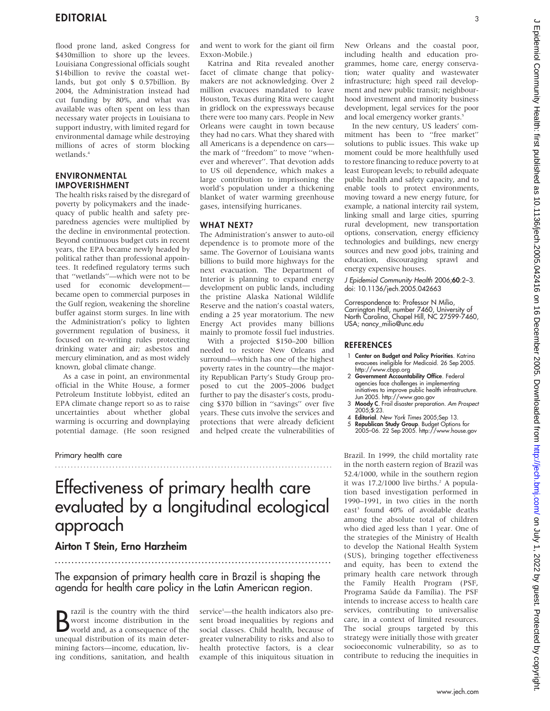flood prone land, asked Congress for \$430million to shore up the levees. Louisiana Congressional officials sought \$14billion to revive the coastal wetlands, but got only \$ 0.57billion. By 2004, the Administration instead had cut funding by 80%, and what was available was often spent on less than necessary water projects in Louisiana to support industry, with limited regard for environmental damage while destroying millions of acres of storm blocking wetlands<sup>4</sup>

#### ENVIRONMENTAL IMPOVERISHMENT

The health risks raised by the disregard of poverty by policymakers and the inadequacy of public health and safety preparedness agencies were multiplied by the decline in environmental protection. Beyond continuous budget cuts in recent years, the EPA became newly headed by political rather than professional appointees. It redefined regulatory terms such that ''wetlands''—which were not to be used for economic development became open to commercial purposes in the Gulf region, weakening the shoreline buffer against storm surges. In line with the Administration's policy to lighten government regulation of business, it focused on re-writing rules protecting drinking water and air; asbestos and mercury elimination, and as most widely known, global climate change.

As a case in point, an environmental official in the White House, a former Petroleum Institute lobbyist, edited an EPA climate change report so as to raise uncertainties about whether global warming is occurring and downplaying potential damage. (He soon resigned

### Primary health care

and went to work for the giant oil firm Exxon-Mobile.)

Katrina and Rita revealed another facet of climate change that policymakers are not acknowledging. Over 2 million evacuees mandated to leave Houston, Texas during Rita were caught in gridlock on the expressways because there were too many cars. People in New Orleans were caught in town because they had no cars. What they shared with all Americans is a dependence on cars the mark of ''freedom'' to move ''whenever and wherever''. That devotion adds to US oil dependence, which makes a large contribution to imprisoning the world's population under a thickening blanket of water warming greenhouse gases, intensifying hurricanes.

#### WHAT NEXT?

The Administration's answer to auto-oil dependence is to promote more of the same. The Governor of Louisiana wants billions to build more highways for the next evacuation. The Department of Interior is planning to expand energy development on public lands, including the pristine Alaska National Wildlife Reserve and the nation's coastal waters, ending a 25 year moratorium. The new Energy Act provides many billions mainly to promote fossil fuel industries.

With a projected \$150–200 billion needed to restore New Orleans and surround—which has one of the highest poverty rates in the country—the majority Republican Party's Study Group proposed to cut the 2005–2006 budget further to pay the disaster's costs, producing \$370 billion in ''savings'' over five years. These cuts involve the services and protections that were already deficient and helped create the vulnerabilities of

Effectiveness of primary health care evaluated by a longitudinal ecological approach

.......................................................................................

## Airton T Stein, Erno Harzheim

...................................................................................

The expansion of primary health care in Brazil is shaping the agenda for health care policy in the Latin American region.

**B** razil is the country with the third<br>world and, as a consequence of the<br>world and, as a consequence of the razil is the country with the third worst income distribution in the unequal distribution of its main determining factors—income, education, living conditions, sanitation, and health

service<sup>1</sup>-the health indicators also present broad inequalities by regions and social classes. Child health, because of greater vulnerability to risks and also to health protective factors, is a clear example of this iniquitous situation in New Orleans and the coastal poor, including health and education programmes, home care, energy conservation; water quality and wastewater infrastructure; high speed rail development and new public transit; neighbourhood investment and minority business development, legal services for the poor and local emergency worker grants.<sup>5</sup>

In the new century, US leaders' commitment has been to ''free market'' solutions to public issues. This wake up moment could be more healthfully used to restore financing to reduce poverty to at least European levels; to rebuild adequate public health and safety capacity, and to enable tools to protect environments, moving toward a new energy future, for example, a national intercity rail system, linking small and large cities, spurring rural development, new transportation options, conservation, energy efficiency technologies and buildings, new energy sources and new good jobs, training and education, discouraging sprawl and energy expensive houses.

J Epidemiol Community Health 2006;60:2-3. doi: 10.1136/jech.2005.042663

Correspondence to: Professor N Milio, Carrington Hall, number 7460, University of North Carolina, Chapel Hill, NC 27599-7460, USA; nancy\_milio@unc.edu

#### **REFERENCES**

- 1 Center on Budget and Policy Priorities. Katrina evacuees ineligible for Medicaid. 26 Sep 2005. http://www.cbpp.org
- 2 Government Accountability Office. Federal agencies face challenges in implementing initiatives to improve public health infrastructure.
- Jun 2005. http://www.gao.gov<br>3 **Moody C**. Frail disaster preparation. Am Prospect<br>2005;**5**:23.
- 4 Editorial. New York Times 2005;Sep 13.<br>5 Republican Study Group. Budget Options Republican Study Group. Budget Options for
- 2005–06. 22 Sep 2005. http://www.house.gov

Brazil. In 1999, the child mortality rate in the north eastern region of Brazil was 52.4/1000, while in the southern region it was  $17.2/1000$  live births.<sup>2</sup> A population based investigation performed in 1990–1991, in two cities in the north east<sup>3</sup> found 40% of avoidable deaths among the absolute total of children who died aged less than 1 year. One of the strategies of the Ministry of Health to develop the National Health System (SUS), bringing together effectiveness and equity, has been to extend the primary health care network through the Family Health Program (PSF, Programa Saúde da Família). The PSF intends to increase access to health care services, contributing to universalise care, in a context of limited resources. The social groups targeted by this strategy were initially those with greater socioeconomic vulnerability, so as to contribute to reducing the inequities in